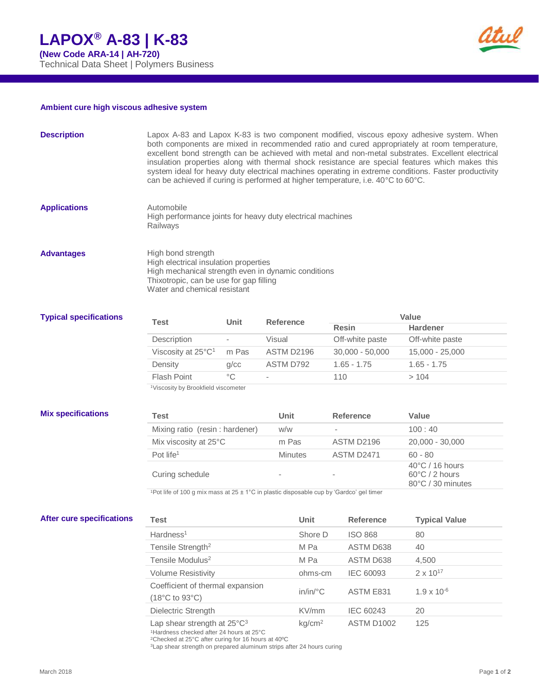

## **Ambient cure high viscous adhesive system**

| <b>Description</b>               | Lapox A-83 and Lapox K-83 is two component modified, viscous epoxy adhesive system. When<br>both components are mixed in recommended ratio and cured appropriately at room temperature,<br>excellent bond strength can be achieved with metal and non-metal substrates. Excellent electrical<br>insulation properties along with thermal shock resistance are special features which makes this<br>system ideal for heavy duty electrical machines operating in extreme conditions. Faster productivity<br>can be achieved if curing is performed at higher temperature, i.e. 40°C to 60°C. |                          |                   |          |                   |                   |                                                                  |  |  |
|----------------------------------|---------------------------------------------------------------------------------------------------------------------------------------------------------------------------------------------------------------------------------------------------------------------------------------------------------------------------------------------------------------------------------------------------------------------------------------------------------------------------------------------------------------------------------------------------------------------------------------------|--------------------------|-------------------|----------|-------------------|-------------------|------------------------------------------------------------------|--|--|
| <b>Applications</b>              | Automobile<br>High performance joints for heavy duty electrical machines<br>Railwavs                                                                                                                                                                                                                                                                                                                                                                                                                                                                                                        |                          |                   |          |                   |                   |                                                                  |  |  |
| <b>Advantages</b>                | High bond strength<br>High electrical insulation properties<br>High mechanical strength even in dynamic conditions<br>Thixotropic, can be use for gap filling<br>Water and chemical resistant                                                                                                                                                                                                                                                                                                                                                                                               |                          |                   |          |                   |                   |                                                                  |  |  |
| <b>Typical specifications</b>    |                                                                                                                                                                                                                                                                                                                                                                                                                                                                                                                                                                                             |                          |                   |          |                   | Value             |                                                                  |  |  |
|                                  | Test                                                                                                                                                                                                                                                                                                                                                                                                                                                                                                                                                                                        | Unit                     | <b>Reference</b>  |          | <b>Resin</b>      |                   | <b>Hardener</b>                                                  |  |  |
|                                  | Description                                                                                                                                                                                                                                                                                                                                                                                                                                                                                                                                                                                 | $\overline{\phantom{a}}$ | Visual            |          |                   | Off-white paste   | Off-white paste                                                  |  |  |
|                                  | Viscosity at 25°C <sup>1</sup>                                                                                                                                                                                                                                                                                                                                                                                                                                                                                                                                                              | m Pas                    | <b>ASTM D2196</b> |          |                   | $30,000 - 50,000$ | 15,000 - 25,000                                                  |  |  |
|                                  | Density                                                                                                                                                                                                                                                                                                                                                                                                                                                                                                                                                                                     | g/cc                     | ASTM D792         |          |                   | $1.65 - 1.75$     | $1.65 - 1.75$                                                    |  |  |
|                                  | $^{\circ}C$<br>Flash Point                                                                                                                                                                                                                                                                                                                                                                                                                                                                                                                                                                  |                          |                   |          | 110               |                   | >104                                                             |  |  |
|                                  | <sup>1</sup> Viscosity by Brookfield viscometer                                                                                                                                                                                                                                                                                                                                                                                                                                                                                                                                             |                          |                   |          |                   |                   |                                                                  |  |  |
| <b>Mix specifications</b>        | Test                                                                                                                                                                                                                                                                                                                                                                                                                                                                                                                                                                                        |                          |                   | Unit     |                   | <b>Reference</b>  | Value                                                            |  |  |
|                                  | Mixing ratio (resin: hardener)                                                                                                                                                                                                                                                                                                                                                                                                                                                                                                                                                              |                          | W/W               |          |                   |                   | 100:40                                                           |  |  |
|                                  | Mix viscosity at 25°C                                                                                                                                                                                                                                                                                                                                                                                                                                                                                                                                                                       |                          | m Pas             |          | ASTM D2196        |                   | 20,000 - 30,000                                                  |  |  |
|                                  | Pot life $1$                                                                                                                                                                                                                                                                                                                                                                                                                                                                                                                                                                                |                          | <b>Minutes</b>    |          | <b>ASTM D2471</b> |                   | $60 - 80$                                                        |  |  |
|                                  | Curing schedule                                                                                                                                                                                                                                                                                                                                                                                                                                                                                                                                                                             |                          |                   |          |                   |                   | $40^{\circ}$ C / 16 hours<br>60°C / 2 hours<br>80°C / 30 minutes |  |  |
|                                  | <sup>1</sup> Pot life of 100 g mix mass at 25 ± 1°C in plastic disposable cup by 'Gardco' gel timer                                                                                                                                                                                                                                                                                                                                                                                                                                                                                         |                          |                   |          |                   |                   |                                                                  |  |  |
| <b>After cure specifications</b> | <b>Test</b>                                                                                                                                                                                                                                                                                                                                                                                                                                                                                                                                                                                 |                          |                   | Unit     |                   | Reference         | <b>Typical Value</b>                                             |  |  |
|                                  | Hardness <sup>1</sup>                                                                                                                                                                                                                                                                                                                                                                                                                                                                                                                                                                       |                          |                   | Shore D  |                   | <b>ISO 868</b>    | 80                                                               |  |  |
|                                  | Tensile Strength <sup>2</sup>                                                                                                                                                                                                                                                                                                                                                                                                                                                                                                                                                               |                          |                   | M Pa     |                   | ASTM D638         | 40                                                               |  |  |
|                                  | Tensile Modulus <sup>2</sup>                                                                                                                                                                                                                                                                                                                                                                                                                                                                                                                                                                |                          |                   | M Pa     |                   | ASTM D638         | 4,500                                                            |  |  |
|                                  | <b>Volume Resistivity</b>                                                                                                                                                                                                                                                                                                                                                                                                                                                                                                                                                                   |                          |                   | ohms-cm  |                   | IEC 60093         | $2 \times 10^{17}$                                               |  |  |
|                                  | Coefficient of thermal expansion<br>$(18^{\circ}C \text{ to } 93^{\circ}C)$                                                                                                                                                                                                                                                                                                                                                                                                                                                                                                                 |                          |                   | in/in/°C | ASTM E831         |                   | $1.9 \times 10^{-6}$                                             |  |  |
|                                  | Dielectric Strength                                                                                                                                                                                                                                                                                                                                                                                                                                                                                                                                                                         |                          |                   | KV/mm    |                   | IEC 60243         | $20\,$                                                           |  |  |

Lap shear strength at  $25^{\circ}$ C<sup>3</sup> kg/cm<sup>2</sup> ASTM D1002 125

<sup>1</sup>Hardness checked after 24 hours at 25°C <sup>2</sup>Checked at 25°C after curing for 16 hours at 40ºC

<sup>3</sup>Lap shear strength on prepared aluminum strips after 24 hours curing